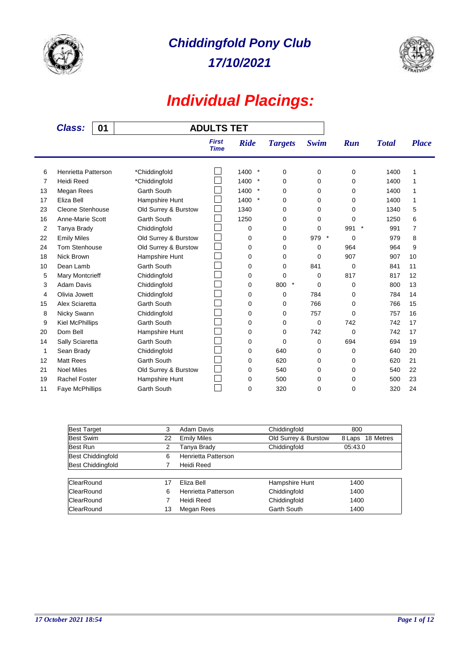



| 01<br><b>Class:</b> |                        |                      | <b>ADULTS TET</b>           |                |                |             |                |              |                |
|---------------------|------------------------|----------------------|-----------------------------|----------------|----------------|-------------|----------------|--------------|----------------|
|                     |                        |                      | <b>First</b><br><b>Time</b> | <b>Ride</b>    | <b>Targets</b> | <b>Swim</b> | Run            | <b>Total</b> | <b>Place</b>   |
| 6                   | Henrietta Patterson    | *Chiddingfold        |                             | $\ast$<br>1400 | $\mathbf 0$    | 0           | 0              | 1400         | 1              |
| 7                   | Heidi Reed             | *Chiddingfold        |                             | 1400<br>$\ast$ | 0              | 0           | 0              | 1400         | 1              |
| 13                  | Megan Rees             | <b>Garth South</b>   |                             | $\ast$<br>1400 | 0              | 0           | 0              | 1400         | 1              |
| 17                  | Eliza Bell             | Hampshire Hunt       |                             | $\ast$<br>1400 | 0              | 0           | $\Omega$       | 1400         | 1              |
| 23                  | Cleone Stenhouse       | Old Surrey & Burstow |                             | 1340           | 0              | 0           | 0              | 1340         | 5              |
| 16                  | Anne-Marie Scott       | <b>Garth South</b>   | $\overline{\phantom{a}}$    | 1250           | 0              | 0           | 0              | 1250         | 6              |
| 2                   | Tanya Brady            | Chiddingfold         |                             | 0              | 0              | 0           | $\star$<br>991 | 991          | $\overline{7}$ |
| 22                  | <b>Emily Miles</b>     | Old Surrey & Burstow |                             | 0              | 0              | 979 *       | $\Omega$       | 979          | 8              |
| 24                  | Tom Stenhouse          | Old Surrey & Burstow |                             | 0              | 0              | 0           | 964            | 964          | 9              |
| 18                  | Nick Brown             | Hampshire Hunt       |                             | $\mathbf 0$    | $\Omega$       | 0           | 907            | 907          | 10             |
| 10                  | Dean Lamb              | <b>Garth South</b>   |                             | 0              | 0              | 841         | $\Omega$       | 841          | 11             |
| 5                   | <b>Mary Montcrieff</b> | Chiddingfold         |                             | 0              | 0              | 0           | 817            | 817          | 12             |
| 3                   | <b>Adam Davis</b>      | Chiddingfold         |                             | 0              | $\star$<br>800 | 0           | 0              | 800          | 13             |
| 4                   | Olivia Jowett          | Chiddingfold         |                             | 0              | 0              | 784         | 0              | 784          | 14             |
| 15                  | Alex Sciaretta         | Garth South          |                             | 0              | 0              | 766         | 0              | 766          | 15             |
| 8                   | Nicky Swann            | Chiddingfold         |                             | 0              | 0              | 757         | $\Omega$       | 757          | 16             |
| 9                   | <b>Kiel McPhillips</b> | <b>Garth South</b>   |                             | $\mathbf 0$    | 0              | 0           | 742            | 742          | 17             |
| 20                  | Dom Bell               | Hampshire Hunt       |                             | 0              | 0              | 742         | $\Omega$       | 742          | 17             |
| 14                  | Sally Sciaretta        | <b>Garth South</b>   |                             | 0              | 0              | 0           | 694            | 694          | 19             |
| 1                   | Sean Brady             | Chiddingfold         |                             | 0              | 640            | 0           | 0              | 640          | 20             |
| 12                  | <b>Matt Rees</b>       | <b>Garth South</b>   |                             | 0              | 620            | 0           | 0              | 620          | 21             |
| 21                  | <b>Noel Miles</b>      | Old Surrey & Burstow |                             | 0              | 540            | 0           | 0              | 540          | 22             |
| 19                  | <b>Rachel Foster</b>   | Hampshire Hunt       |                             | 0              | 500            | 0           | $\Omega$       | 500          | 23             |
| 11                  | <b>Faye McPhillips</b> | <b>Garth South</b>   |                             | 0              | 320            | 0           | $\Omega$       | 320          | 24             |

| <b>Best Target</b>       | 3  | Adam Davis          | Chiddingfold         | 800                 |
|--------------------------|----|---------------------|----------------------|---------------------|
| <b>Best Swim</b>         | 22 | <b>Emily Miles</b>  | Old Surrey & Burstow | 18 Metres<br>8 Laps |
| Best Run                 | 2  | Tanya Brady         | Chiddingfold         | 05:43.0             |
| <b>Best Chiddingfold</b> | 6  | Henrietta Patterson |                      |                     |
| Best Chiddingfold        |    | Heidi Reed          |                      |                     |
| ClearRound               | 17 | Eliza Bell          | Hampshire Hunt       | 1400                |
| ClearRound               | 6  | Henrietta Patterson | Chiddingfold         | 1400                |
| ClearRound               |    | Heidi Reed          | Chiddingfold         | 1400                |
| ClearRound               | 13 | Megan Rees          | <b>Garth South</b>   | 1400                |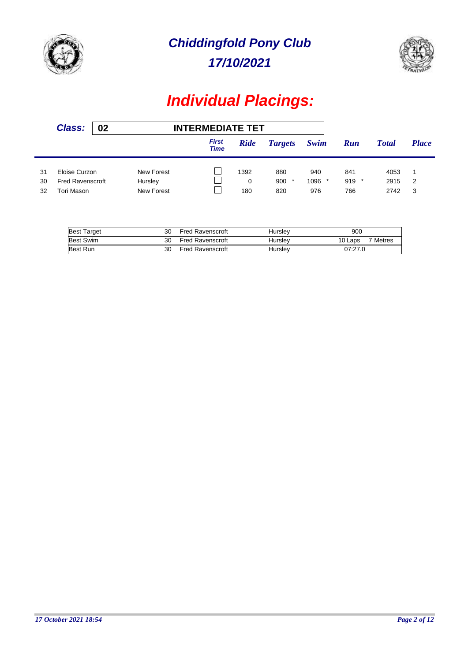



|                | <b>Class:</b>                                          | 02 |                                     | <b>INTERMEDIATE TET</b>     |                  |                             |                        |                              |                      |              |
|----------------|--------------------------------------------------------|----|-------------------------------------|-----------------------------|------------------|-----------------------------|------------------------|------------------------------|----------------------|--------------|
|                |                                                        |    |                                     | <b>First</b><br><b>Time</b> | <b>Ride</b>      | <b>Targets</b>              | Swim                   | <b>Run</b>                   | <b>Total</b>         | <b>Place</b> |
| 31<br>30<br>32 | Eloise Curzon<br><b>Fred Ravenscroft</b><br>Tori Mason |    | New Forest<br>Hursley<br>New Forest |                             | 1392<br>0<br>180 | 880<br>900<br>$\ast$<br>820 | 940<br>$1096$ *<br>976 | 841<br>919<br>$\star$<br>766 | 4053<br>2915<br>2742 | 2<br>3       |

| <b>Best Target</b> | 30 | <b>Fred Ravenscroft</b> | Hurslev | 900     |                     |
|--------------------|----|-------------------------|---------|---------|---------------------|
| <b>Best Swim</b>   | 30 | <b>Fred Ravenscroft</b> | Hurslev | 10 Laps | <sup>7</sup> Metres |
| <b>Best Run</b>    | 30 | <b>Fred Ravenscroft</b> | Hurslev | 07:27.0 |                     |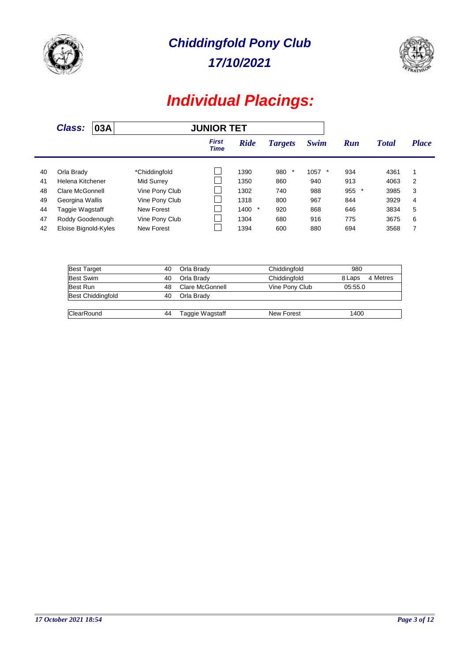

Î.

*17/10/2021 Chiddingfold Pony Club*



|    | <b>Class:</b>        | 03A<br><b>JUNIOR TET</b> |                |                             |             |                |      |               |              |              |
|----|----------------------|--------------------------|----------------|-----------------------------|-------------|----------------|------|---------------|--------------|--------------|
|    |                      |                          |                | <b>First</b><br><b>Time</b> | <b>Ride</b> | <b>Targets</b> | Swim | Run           | <b>Total</b> | <b>Place</b> |
|    |                      |                          |                |                             |             |                |      |               |              |              |
| 40 | Orla Brady           |                          | *Chiddingfold  |                             | 1390        | 980<br>*       | 1057 | 934           | 4361         | 1            |
| 41 | Helena Kitchener     |                          | Mid Surrey     |                             | 1350        | 860            | 940  | 913           | 4063         | 2            |
| 48 | Clare McGonnell      |                          | Vine Pony Club |                             | 1302        | 740            | 988  | 955<br>$\ast$ | 3985         | 3            |
| 49 | Georgina Wallis      |                          | Vine Pony Club |                             | 1318        | 800            | 967  | 844           | 3929         | 4            |
| 44 | Taggie Wagstaff      |                          | New Forest     |                             | $1400$ *    | 920            | 868  | 646           | 3834         | 5            |
| 47 | Roddy Goodenough     |                          | Vine Pony Club |                             | 1304        | 680            | 916  | 775           | 3675         | 6            |
| 42 | Eloise Bignold-Kyles |                          | New Forest     |                             | 1394        | 600            | 880  | 694           | 3568         | 7            |

| <b>Best Target</b> | 40 | Orla Brady      | Chiddingfold   | 980                |
|--------------------|----|-----------------|----------------|--------------------|
| Best Swim          | 40 | Orla Brady      | Chiddingfold   | 4 Metres<br>8 Laps |
| Best Run           | 48 | Clare McGonnell | Vine Pony Club | 05:55.0            |
| Best Chiddingfold  | 40 | Orla Brady      |                |                    |
|                    |    |                 |                |                    |
| <b>ClearRound</b>  | 44 | Taggie Wagstaff | New Forest     | 1400               |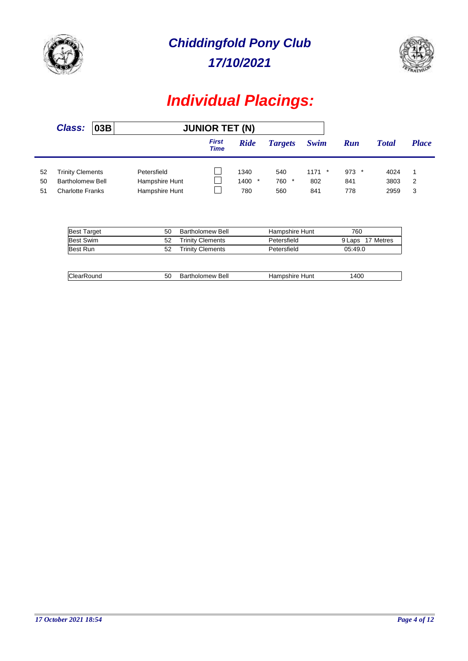



|                | <b>Class:</b>                                                          | 03B |                                                 | <b>JUNIOR TET (N)</b>       |                         |                              |                        |                       |                      |              |
|----------------|------------------------------------------------------------------------|-----|-------------------------------------------------|-----------------------------|-------------------------|------------------------------|------------------------|-----------------------|----------------------|--------------|
|                |                                                                        |     |                                                 | <b>First</b><br><b>Time</b> | <b>Ride</b>             | <b>Targets</b>               | Swim                   | <b>Run</b>            | <b>Total</b>         | <b>Place</b> |
| 52<br>50<br>51 | <b>Trinity Clements</b><br><b>Bartholomew Bell</b><br>Charlotte Franks |     | Petersfield<br>Hampshire Hunt<br>Hampshire Hunt |                             | 1340<br>$1400$ *<br>780 | 540<br>760<br>$\star$<br>560 | $1171$ *<br>802<br>841 | $973$ *<br>841<br>778 | 4024<br>3803<br>2959 | -2<br>3      |

| <b>Best Target</b> | 50 | Bartholomew Bell        | Hampshire Hunt | 760              |
|--------------------|----|-------------------------|----------------|------------------|
| <b>Best Swim</b>   | 52 | <b>Trinity Clements</b> | Petersfield    | 9 Laps 17 Metres |
| Best Run           | 52 | <b>Trinity Clements</b> | Petersfield    | 05:49.0          |
|                    |    |                         |                |                  |
| ClearRound         | 50 | Bartholomew Bell        | Hampshire Hunt | 1400             |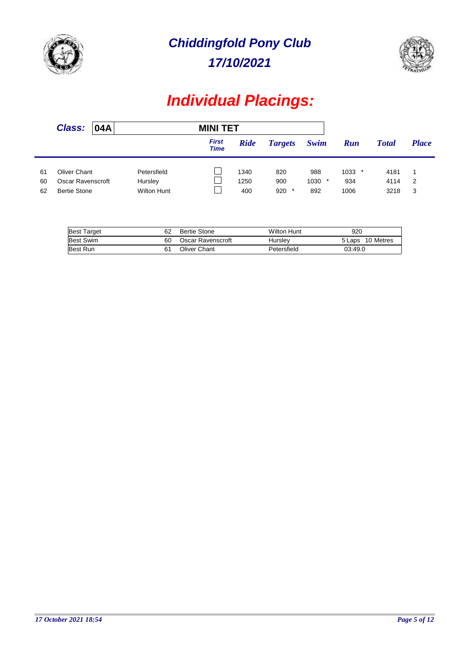



|                | <b>Class:</b>                                            | 04A |                                              | <b>MINI TET</b>             |                     |                              |                        |                                |                      |              |
|----------------|----------------------------------------------------------|-----|----------------------------------------------|-----------------------------|---------------------|------------------------------|------------------------|--------------------------------|----------------------|--------------|
|                |                                                          |     |                                              | <b>First</b><br><b>Time</b> | <b>Ride</b>         | <b>Targets</b>               | Swim                   | <b>Run</b>                     | <b>Total</b>         | <b>Place</b> |
| 61<br>60<br>62 | Oliver Chant<br>Oscar Ravenscroft<br><b>Bertie Stone</b> |     | Petersfield<br>Hursley<br><b>Wilton Hunt</b> |                             | 1340<br>1250<br>400 | 820<br>900<br>920<br>$\star$ | 988<br>$1030$ *<br>892 | 1033<br>$\star$<br>934<br>1006 | 4181<br>4114<br>3218 | 2<br>3       |

| <b>Best Target</b> | 62 | Bertie Stone      | <b>Wilton Hunt</b> | 920              |
|--------------------|----|-------------------|--------------------|------------------|
| <b>Best Swim</b>   | 60 | Oscar Ravenscroft | Hurslev            | 5 Laps 10 Metres |
| <b>Best Run</b>    |    | Oliver Chant      | Petersfield        | 03:49.0          |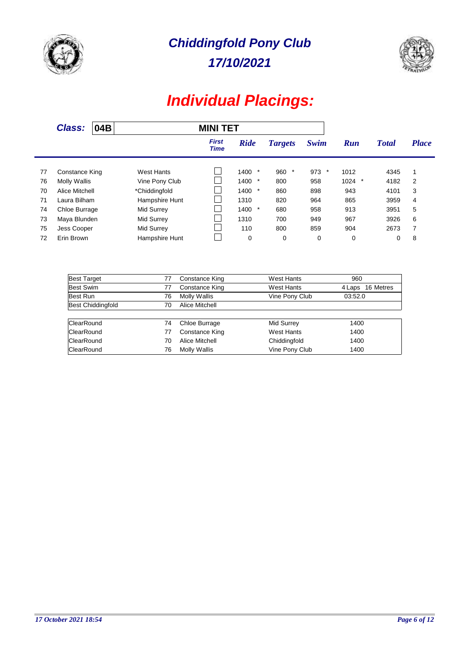

Î.

*17/10/2021 Chiddingfold Pony Club*



|    | <b>Class:</b>         | 04B |                       | <b>MINI TET</b>             |                 |                |             |                 |              |              |
|----|-----------------------|-----|-----------------------|-----------------------------|-----------------|----------------|-------------|-----------------|--------------|--------------|
|    |                       |     |                       | <b>First</b><br><b>Time</b> | <b>Ride</b>     | <b>Targets</b> | Swim        | Run             | <b>Total</b> | <b>Place</b> |
| 77 | Constance King        |     | West Hants            |                             | $1400$ *        | 960<br>*       | $973$ *     | 1012            | 4345         |              |
| 76 | <b>Molly Wallis</b>   |     | Vine Pony Club        |                             | 1400<br>$\star$ | 800            | 958         | 1024<br>$\star$ | 4182         | 2            |
|    |                       |     |                       |                             |                 |                |             |                 |              |              |
| 70 | <b>Alice Mitchell</b> |     | *Chiddingfold         |                             | $1400$ *        | 860            | 898         | 943             | 4101         | 3            |
| 71 | Laura Bilham          |     | Hampshire Hunt        |                             | 1310            | 820            | 964         | 865             | 3959         | 4            |
| 74 | Chloe Burrage         |     | Mid Surrey            |                             | $1400$ *        | 680            | 958         | 913             | 3951         | 5            |
| 73 | Maya Blunden          |     | Mid Surrey            |                             | 1310            | 700            | 949         | 967             | 3926         | 6            |
| 75 | Jess Cooper           |     | Mid Surrey            |                             | 110             | 800            | 859         | 904             | 2673         | 7            |
| 72 | Erin Brown            |     | <b>Hampshire Hunt</b> |                             | $\mathbf 0$     | $\mathbf 0$    | $\mathbf 0$ | 0               | 0            | 8            |

| <b>Best Target</b>       | 77 | <b>Constance King</b> | West Hants        | 960                 |
|--------------------------|----|-----------------------|-------------------|---------------------|
| Best Swim                | 77 | Constance King        | <b>West Hants</b> | 16 Metres<br>4 Laps |
| Best Run                 | 76 | <b>Molly Wallis</b>   | Vine Pony Club    | 03:52.0             |
| <b>Best Chiddingfold</b> | 70 | Alice Mitchell        |                   |                     |
|                          |    |                       |                   |                     |
| <b>ClearRound</b>        | 74 | Chloe Burrage         | <b>Mid Surrey</b> | 1400                |
| <b>ClearRound</b>        | 77 | <b>Constance King</b> | West Hants        | 1400                |
| <b>ClearRound</b>        | 70 | Alice Mitchell        | Chiddingfold      | 1400                |
| <b>ClearRound</b>        | 76 | <b>Molly Wallis</b>   | Vine Pony Club    | 1400                |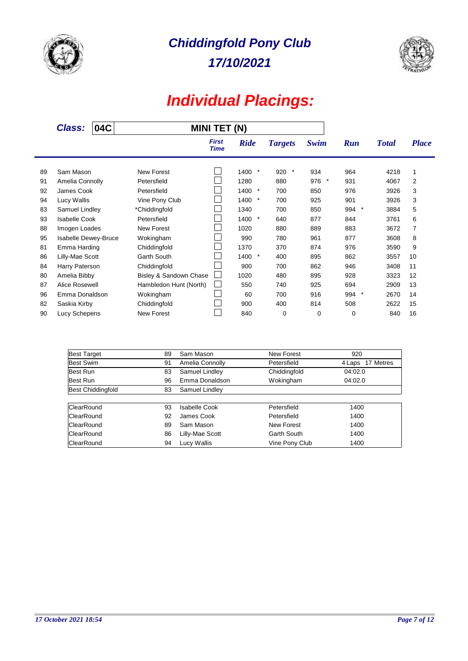



|    | <b>Class:</b>        | 04C |                        | <b>MINI TET (N)</b>         |                 |                |                |                |              |              |
|----|----------------------|-----|------------------------|-----------------------------|-----------------|----------------|----------------|----------------|--------------|--------------|
|    |                      |     |                        | <b>First</b><br><b>Time</b> | <b>Ride</b>     | <b>Targets</b> | Swim           | <b>Run</b>     | <b>Total</b> | <b>Place</b> |
| 89 | Sam Mason            |     | <b>New Forest</b>      |                             | $\star$<br>1400 | $\ast$<br>920  | 934            | 964            | 4218         | 1            |
| 91 | Amelia Connolly      |     | Petersfield            |                             | 1280            | 880            | 976<br>$\star$ | 931            | 4067         | 2            |
| 92 | James Cook           |     | Petersfield            |                             | 1400<br>$\star$ | 700            | 850            | 976            | 3926         | 3            |
| 94 | Lucy Wallis          |     | Vine Pony Club         |                             | 1400 *          | 700            | 925            | 901            | 3926         | 3            |
| 83 | Samuel Lindley       |     | *Chiddingfold          |                             | 1340            | 700            | 850            | $\star$<br>994 | 3884         | 5            |
| 93 | <b>Isabelle Cook</b> |     | Petersfield            |                             | $\star$<br>1400 | 640            | 877            | 844            | 3761         | 6            |
| 88 | Imogen Loades        |     | <b>New Forest</b>      |                             | 1020            | 880            | 889            | 883            | 3672         | 7            |
| 95 | Isabelle Dewey-Bruce |     | Wokingham              |                             | 990             | 780            | 961            | 877            | 3608         | 8            |
| 81 | Emma Harding         |     | Chiddingfold           |                             | 1370            | 370            | 874            | 976            | 3590         | 9            |
| 86 | Lilly-Mae Scott      |     | <b>Garth South</b>     |                             | $\star$<br>1400 | 400            | 895            | 862            | 3557         | 10           |
| 84 | Harry Paterson       |     | Chiddingfold           |                             | 900             | 700            | 862            | 946            | 3408         | 11           |
| 80 | Amelia Bibby         |     | Bisley & Sandown Chase |                             | 1020            | 480            | 895            | 928            | 3323         | 12           |
| 87 | Alice Rosewell       |     | Hambledon Hunt (North) |                             | 550             | 740            | 925            | 694            | 2909         | 13           |
| 96 | Emma Donaldson       |     | Wokingham              |                             | 60              | 700            | 916            | 994<br>$^\ast$ | 2670         | 14           |
| 82 | Saskia Kirby         |     | Chiddingfold           |                             | 900             | 400            | 814            | 508            | 2622         | 15           |
| 90 | Lucy Schepens        |     | <b>New Forest</b>      |                             | 840             | 0              | 0              | 0              | 840          | 16           |

| <b>Best Target</b>       | 89 | Sam Mason       | <b>New Forest</b> | 920              |
|--------------------------|----|-----------------|-------------------|------------------|
| Best Swim                | 91 | Amelia Connolly | Petersfield       | 4 Laps 17 Metres |
| Best Run                 | 83 | Samuel Lindley  | Chiddingfold      | 04:02.0          |
| Best Run                 | 96 | Emma Donaldson  | Wokingham         | 04:02.0          |
| <b>Best Chiddingfold</b> | 83 | Samuel Lindley  |                   |                  |
|                          |    |                 |                   |                  |
| ClearRound               | 93 | Isabelle Cook   | Petersfield       | 1400             |
| ClearRound               | 92 | James Cook      | Petersfield       | 1400             |
| ClearRound               | 89 | Sam Mason       | New Forest        | 1400             |
| ClearRound               | 86 | Lilly-Mae Scott | Garth South       | 1400             |
| ClearRound               | 94 | Lucy Wallis     | Vine Pony Club    | 1400             |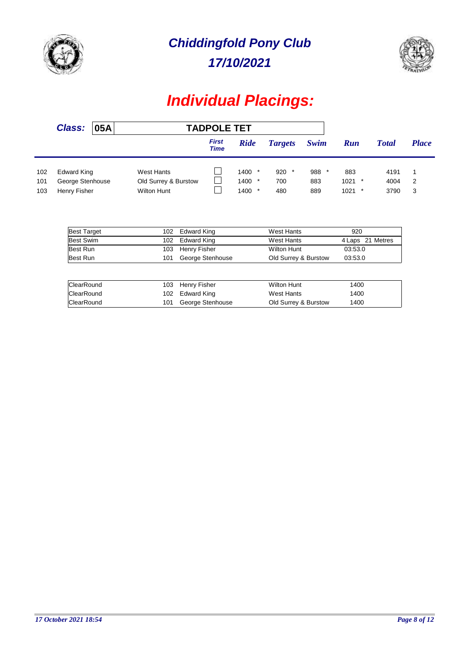



|            | <b>Class:</b>                           | 05A |                                            | <b>TADPOLE TET</b>          |                      |                |            |              |              |              |
|------------|-----------------------------------------|-----|--------------------------------------------|-----------------------------|----------------------|----------------|------------|--------------|--------------|--------------|
|            |                                         |     |                                            | <b>First</b><br><b>Time</b> | <b>Ride</b>          | <b>Targets</b> | Swim       | <b>Run</b>   | <b>Total</b> | <b>Place</b> |
| 102        | Edward King                             |     | West Hants                                 |                             | $1400$ *             | 920<br>$\star$ | 988        | 883          | 4191         |              |
| 101<br>103 | George Stenhouse<br><b>Henry Fisher</b> |     | Old Surrey & Burstow<br><b>Wilton Hunt</b> |                             | $1400$ *<br>$1400$ * | 700<br>480     | 883<br>889 | 1021<br>1021 | 4004<br>3790 | 2<br>3       |

| <b>Best Target</b> | 102 | Edward King      | West Hants           | 920              |
|--------------------|-----|------------------|----------------------|------------------|
| <b>Best Swim</b>   |     | 102 Edward King  | West Hants           | 4 Laps 21 Metres |
| Best Run           |     | 103 Henry Fisher | <b>Wilton Hunt</b>   | 03:53.0          |
| Best Run           | 101 | George Stenhouse | Old Surrey & Burstow | 03:53.0          |

| ClearRound |     | 103 Henry Fisher | <b>Wilton Hunt</b>   | 1400 |
|------------|-----|------------------|----------------------|------|
| ClearRound |     | 102 Edward King  | West Hants           | 1400 |
| ClearRound | 101 | George Stenhouse | Old Surrey & Burstow | 1400 |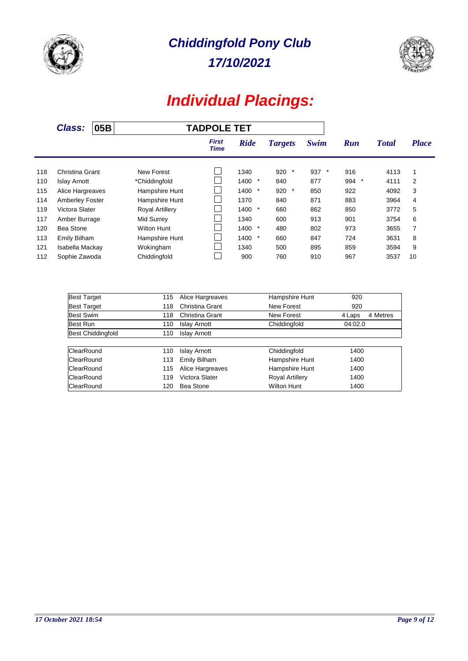



|     | <b>Class:</b>          | 05B |                        | <b>TADPOLE TET</b>   |                  |                |         |               |              |              |
|-----|------------------------|-----|------------------------|----------------------|------------------|----------------|---------|---------------|--------------|--------------|
|     |                        |     |                        | <b>First</b><br>Time | <b>Ride</b>      | <b>Targets</b> | Swim    | Run           | <b>Total</b> | <b>Place</b> |
| 118 | Christina Grant        |     | New Forest             |                      | 1340             | 920<br>$\ast$  | 937 $*$ | 916           | 4113         | 1            |
| 110 | <b>Islay Arnott</b>    |     | *Chiddingfold          |                      | 1400<br>$^\star$ | 840            | 877     | 994<br>$\ast$ | 4111         | 2            |
| 115 | Alice Hargreaves       |     | Hampshire Hunt         |                      | $\ast$<br>1400   | 920<br>$\star$ | 850     | 922           | 4092         | 3            |
| 114 | <b>Amberley Foster</b> |     | Hampshire Hunt         |                      | 1370             | 840            | 871     | 883           | 3964         | 4            |
| 119 | Victora Slater         |     | <b>Royal Artillery</b> |                      | $\star$<br>1400  | 660            | 862     | 850           | 3772         | 5            |
| 117 | Amber Burrage          |     | Mid Surrey             |                      | 1340             | 600            | 913     | 901           | 3754         | 6            |
| 120 | Bea Stone              |     | Wilton Hunt            |                      | $\star$<br>1400  | 480            | 802     | 973           | 3655         | 7            |
| 113 | <b>Emily Bilham</b>    |     | Hampshire Hunt         |                      | 1400<br>$\star$  | 660            | 847     | 724           | 3631         | 8            |
| 121 | Isabella Mackay        |     | Wokingham              |                      | 1340             | 500            | 895     | 859           | 3594         | 9            |
| 112 | Sophie Zawoda          |     | Chiddingfold           |                      | 900              | 760            | 910     | 967           | 3537         | 10           |

| <b>Best Target</b>       | 115 | Alice Hargreaves    | Hampshire Hunt         | 920                |
|--------------------------|-----|---------------------|------------------------|--------------------|
| <b>Best Target</b>       | 118 | Christina Grant     | New Forest             | 920                |
| Best Swim                | 118 | Christina Grant     | New Forest             | 4 Metres<br>4 Laps |
| Best Run                 | 110 | <b>Islay Arnott</b> | Chiddingfold           | 04:02.0            |
| <b>Best Chiddingfold</b> | 110 | <b>Islay Arnott</b> |                        |                    |
|                          |     |                     |                        |                    |
| <b>ClearRound</b>        | 110 | <b>Islay Arnott</b> | Chiddingfold           | 1400               |
| ClearRound               | 113 | Emily Bilham        | Hampshire Hunt         | 1400               |
| ClearRound               | 115 | Alice Hargreaves    | Hampshire Hunt         | 1400               |
| ClearRound               | 119 | Victora Slater      | <b>Royal Artillery</b> | 1400               |
| ClearRound               | 120 | <b>Bea Stone</b>    | <b>Wilton Hunt</b>     | 1400               |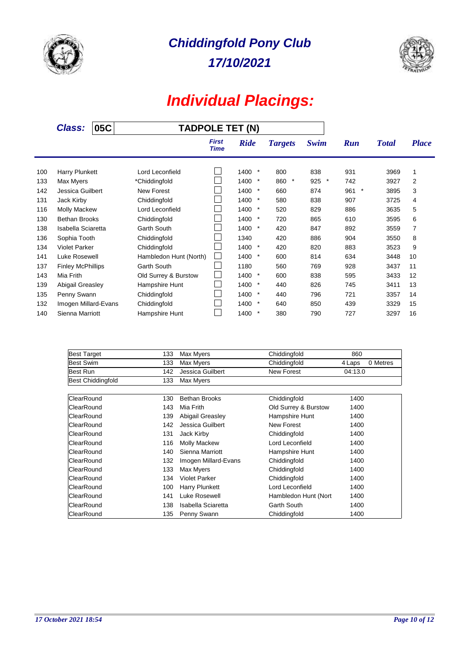



|     | 05C<br><b>Class:</b>     |  | <b>TADPOLE TET (N)</b> |                             |                  |                |                |               |              |                |
|-----|--------------------------|--|------------------------|-----------------------------|------------------|----------------|----------------|---------------|--------------|----------------|
|     |                          |  |                        | <b>First</b><br><b>Time</b> | <b>Ride</b>      | <b>Targets</b> | Swim           | <b>Run</b>    | <b>Total</b> | <b>Place</b>   |
| 100 | Harry Plunkett           |  | Lord Leconfield        |                             | $\ast$<br>1400   | 800            | 838            | 931           | 3969         | 1              |
| 133 | Max Myers                |  | *Chiddingfold          |                             | 1400<br>$^\star$ | 860<br>$\star$ | 925<br>$\star$ | 742           | 3927         | $\overline{2}$ |
| 142 | Jessica Guilbert         |  | <b>New Forest</b>      |                             | 1400<br>$\ast$   | 660            | 874            | $\ast$<br>961 | 3895         | 3              |
| 131 | Jack Kirby               |  | Chiddingfold           |                             | 1400<br>$\ast$   | 580            | 838            | 907           | 3725         | 4              |
| 116 | <b>Molly Mackew</b>      |  | Lord Leconfield        |                             | 1400<br>$\ast$   | 520            | 829            | 886           | 3635         | 5              |
| 130 | <b>Bethan Brooks</b>     |  | Chiddingfold           |                             | 1400<br>$\ast$   | 720            | 865            | 610           | 3595         | 6              |
| 138 | Isabella Sciaretta       |  | <b>Garth South</b>     |                             | 1400<br>$^\star$ | 420            | 847            | 892           | 3559         | 7              |
| 136 | Sophia Tooth             |  | Chiddingfold           |                             | 1340             | 420            | 886            | 904           | 3550         | 8              |
| 134 | <b>Violet Parker</b>     |  | Chiddingfold           |                             | 1400<br>$\ast$   | 420            | 820            | 883           | 3523         | 9              |
| 141 | Luke Rosewell            |  | Hambledon Hunt (North) |                             | 1400<br>$\ast$   | 600            | 814            | 634           | 3448         | 10             |
| 137 | <b>Finley McPhillips</b> |  | <b>Garth South</b>     |                             | 1180             | 560            | 769            | 928           | 3437         | 11             |
| 143 | Mia Frith                |  | Old Surrey & Burstow   | $\overline{\phantom{a}}$    | 1400<br>$\ast$   | 600            | 838            | 595           | 3433         | 12             |
| 139 | Abigail Greasley         |  | Hampshire Hunt         | I.                          | 1400<br>$\ast$   | 440            | 826            | 745           | 3411         | 13             |
| 135 | Penny Swann              |  | Chiddingfold           |                             | 1400<br>$^\star$ | 440            | 796            | 721           | 3357         | 14             |
| 132 | Imogen Millard-Evans     |  | Chiddingfold           |                             | 1400<br>$\ast$   | 640            | 850            | 439           | 3329         | 15             |
| 140 | Sienna Marriott          |  | Hampshire Hunt         |                             | $\star$<br>1400  | 380            | 790            | 727           | 3297         | 16             |

| <b>Best Target</b>       | 133 | Max Myers            | Chiddingfold         | 860     |          |
|--------------------------|-----|----------------------|----------------------|---------|----------|
| Best Swim                | 133 | Max Myers            | Chiddingfold         | 4 Laps  | 0 Metres |
| Best Run                 | 142 | Jessica Guilbert     | <b>New Forest</b>    | 04:13.0 |          |
| <b>Best Chiddingfold</b> | 133 | Max Myers            |                      |         |          |
| ClearRound               | 130 | <b>Bethan Brooks</b> | Chiddingfold         | 1400    |          |
| ClearRound               | 143 | Mia Frith            | Old Surrey & Burstow | 1400    |          |
| ClearRound               | 139 | Abigail Greasley     | Hampshire Hunt       | 1400    |          |
| ClearRound               | 142 | Jessica Guilbert     | New Forest           | 1400    |          |
| <b>ClearRound</b>        | 131 | Jack Kirby           | Chiddingfold         | 1400    |          |
| <b>ClearRound</b>        | 116 | <b>Molly Mackew</b>  | Lord Leconfield      | 1400    |          |
| <b>ClearRound</b>        | 140 | Sienna Marriott      | Hampshire Hunt       | 1400    |          |
| ClearRound               | 132 | Imogen Millard-Evans | Chiddingfold         | 1400    |          |
| ClearRound               | 133 | Max Myers            | Chiddingfold         | 1400    |          |
| ClearRound               | 134 | <b>Violet Parker</b> | Chiddingfold         | 1400    |          |
| ClearRound               | 100 | Harry Plunkett       | Lord Leconfield      | 1400    |          |
| <b>ClearRound</b>        | 141 | Luke Rosewell        | Hambledon Hunt (Nort | 1400    |          |
| <b>ClearRound</b>        | 138 | Isabella Sciaretta   | Garth South          | 1400    |          |
| ClearRound               | 135 | Penny Swann          | Chiddingfold         | 1400    |          |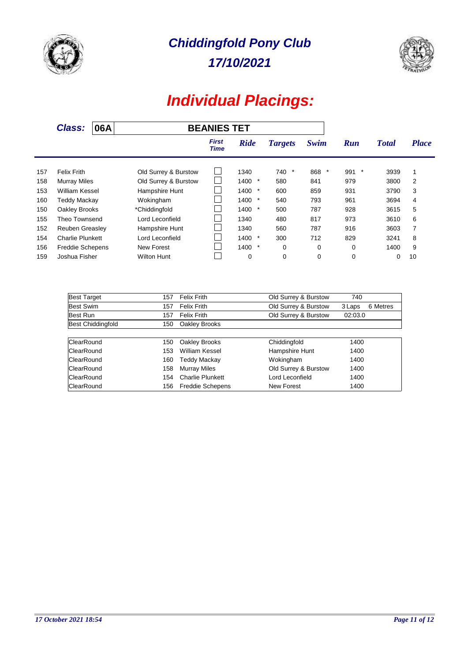



|     | <b>Class:</b>           | 06A |                      | <b>BEANIES TET</b>   |                 |                |       |               |              |              |
|-----|-------------------------|-----|----------------------|----------------------|-----------------|----------------|-------|---------------|--------------|--------------|
|     |                         |     |                      | <b>First</b><br>Time | <b>Ride</b>     | <b>Targets</b> | Swim  | <b>Run</b>    | <b>Total</b> | <b>Place</b> |
| 157 | Felix Frith             |     | Old Surrey & Burstow |                      | 1340            | 740<br>$\ast$  | 868 * | 991<br>$\ast$ | 3939         | 1            |
| 158 | <b>Murray Miles</b>     |     | Old Surrey & Burstow |                      | 1400<br>$\ast$  | 580            | 841   | 979           | 3800         | 2            |
| 153 | William Kessel          |     | Hampshire Hunt       |                      | 1400<br>$\star$ | 600            | 859   | 931           | 3790         | 3            |
| 160 | Teddy Mackay            |     | Wokingham            |                      | 1400<br>$\ast$  | 540            | 793   | 961           | 3694         | 4            |
| 150 | Oakley Brooks           |     | *Chiddingfold        |                      | $\star$<br>1400 | 500            | 787   | 928           | 3615         | 5            |
| 155 | Theo Townsend           |     | Lord Leconfield      |                      | 1340            | 480            | 817   | 973           | 3610         | 6            |
| 152 | <b>Reuben Greasley</b>  |     | Hampshire Hunt       |                      | 1340            | 560            | 787   | 916           | 3603         | 7            |
| 154 | <b>Charlie Plunkett</b> |     | Lord Leconfield      |                      | 1400<br>$\ast$  | 300            | 712   | 829           | 3241         | 8            |
| 156 | <b>Freddie Schepens</b> |     | New Forest           |                      | $\star$<br>1400 | 0              | 0     | 0             | 1400         | 9            |
| 159 | Joshua Fisher           |     | Wilton Hunt          |                      | 0               | 0              | 0     | 0             | 0            | 10           |

| <b>Best Target</b>       | 157 | <b>Felix Frith</b>      | Old Surrey & Burstow | 740                |
|--------------------------|-----|-------------------------|----------------------|--------------------|
| Best Swim                | 157 | <b>Felix Frith</b>      | Old Surrey & Burstow | 6 Metres<br>3 Laps |
| Best Run                 | 157 | <b>Felix Frith</b>      | Old Surrey & Burstow | 02:03.0            |
| <b>Best Chiddingfold</b> | 150 | Oakley Brooks           |                      |                    |
|                          |     |                         |                      |                    |
| ClearRound               | 150 | Oakley Brooks           | Chiddingfold         | 1400               |
| ClearRound               | 153 | <b>William Kessel</b>   | Hampshire Hunt       | 1400               |
| ClearRound               | 160 | Teddy Mackay            | Wokingham            | 1400               |
| ClearRound               | 158 | <b>Murray Miles</b>     | Old Surrey & Burstow | 1400               |
| ClearRound               | 154 | <b>Charlie Plunkett</b> | Lord Leconfield      | 1400               |
| <b>ClearRound</b>        | 156 | <b>Freddie Schepens</b> | New Forest           | 1400               |